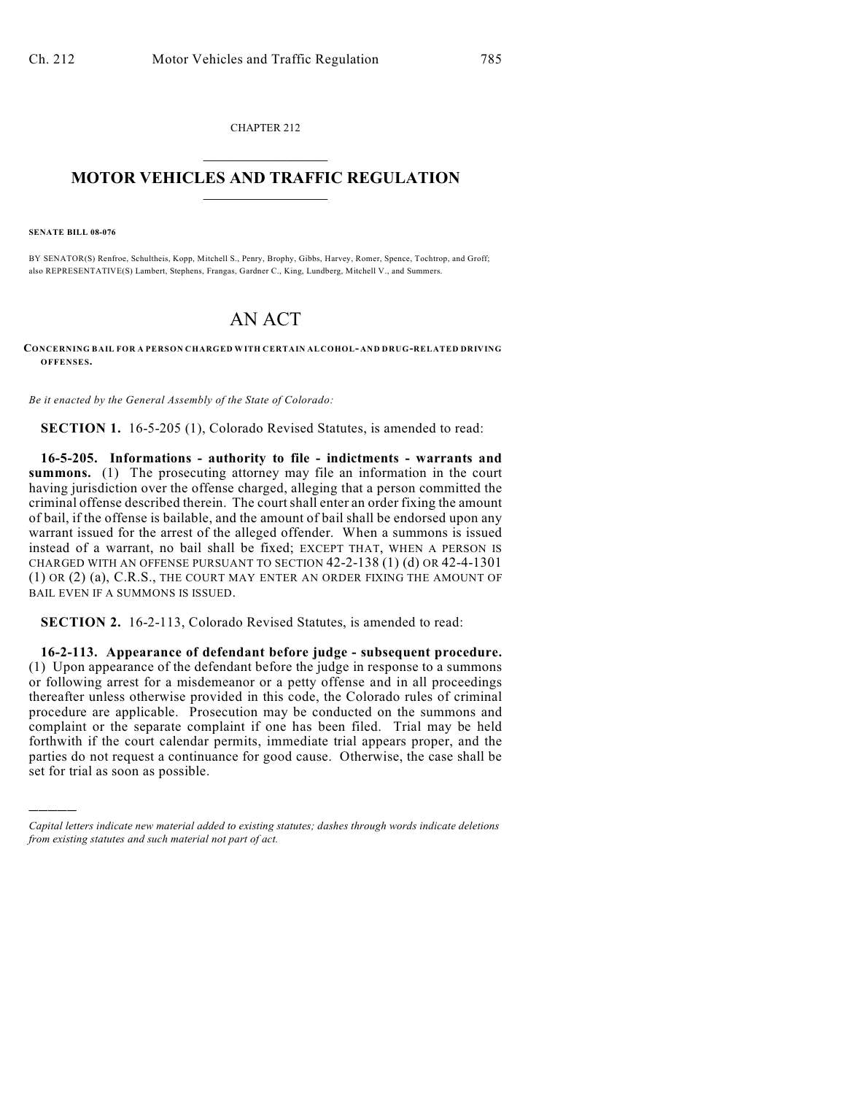CHAPTER 212  $\mathcal{L}_\text{max}$  . The set of the set of the set of the set of the set of the set of the set of the set of the set of the set of the set of the set of the set of the set of the set of the set of the set of the set of the set

## **MOTOR VEHICLES AND TRAFFIC REGULATION**  $\frac{1}{2}$  ,  $\frac{1}{2}$  ,  $\frac{1}{2}$  ,  $\frac{1}{2}$  ,  $\frac{1}{2}$  ,  $\frac{1}{2}$  ,  $\frac{1}{2}$  ,  $\frac{1}{2}$

**SENATE BILL 08-076**

)))))

BY SENATOR(S) Renfroe, Schultheis, Kopp, Mitchell S., Penry, Brophy, Gibbs, Harvey, Romer, Spence, Tochtrop, and Groff; also REPRESENTATIVE(S) Lambert, Stephens, Frangas, Gardner C., King, Lundberg, Mitchell V., and Summers.

## AN ACT

**CONCERNING BAIL FOR A PERSON CHARGED WITH CERTAIN ALCOHOL- AND DRUG-RELATED DRIVING OFFENSES.**

*Be it enacted by the General Assembly of the State of Colorado:*

**SECTION 1.** 16-5-205 (1), Colorado Revised Statutes, is amended to read:

**16-5-205. Informations - authority to file - indictments - warrants and summons.** (1) The prosecuting attorney may file an information in the court having jurisdiction over the offense charged, alleging that a person committed the criminal offense described therein. The court shall enter an order fixing the amount of bail, if the offense is bailable, and the amount of bail shall be endorsed upon any warrant issued for the arrest of the alleged offender. When a summons is issued instead of a warrant, no bail shall be fixed; EXCEPT THAT, WHEN A PERSON IS CHARGED WITH AN OFFENSE PURSUANT TO SECTION 42-2-138 (1) (d) OR 42-4-1301 (1) OR (2) (a), C.R.S., THE COURT MAY ENTER AN ORDER FIXING THE AMOUNT OF BAIL EVEN IF A SUMMONS IS ISSUED.

**SECTION 2.** 16-2-113, Colorado Revised Statutes, is amended to read:

**16-2-113. Appearance of defendant before judge - subsequent procedure.** (1) Upon appearance of the defendant before the judge in response to a summons or following arrest for a misdemeanor or a petty offense and in all proceedings thereafter unless otherwise provided in this code, the Colorado rules of criminal procedure are applicable. Prosecution may be conducted on the summons and complaint or the separate complaint if one has been filed. Trial may be held forthwith if the court calendar permits, immediate trial appears proper, and the parties do not request a continuance for good cause. Otherwise, the case shall be set for trial as soon as possible.

*Capital letters indicate new material added to existing statutes; dashes through words indicate deletions from existing statutes and such material not part of act.*